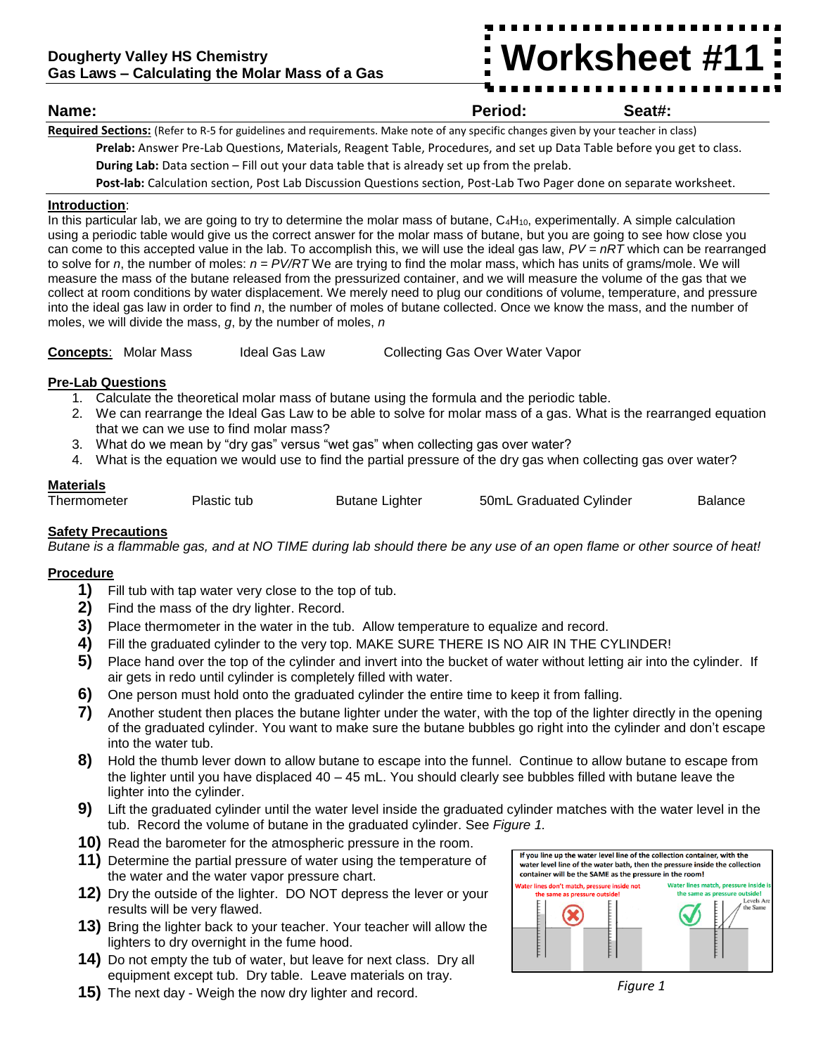# **Worksheet #11**

# **Name: Period: Seat#:**

**Required Sections:** (Refer to R-5 for guidelines and requirements. Make note of any specific changes given by your teacher in class) **Prelab:** Answer Pre-Lab Questions, Materials, Reagent Table, Procedures, and set up Data Table before you get to class.

**During Lab:** Data section – Fill out your data table that is already set up from the prelab.

**Post-lab:** Calculation section, Post Lab Discussion Questions section, Post-Lab Two Pager done on separate worksheet.

## **Introduction**:

In this particular lab, we are going to try to determine the molar mass of butane,  $C_4H_{10}$ , experimentally. A simple calculation using a periodic table would give us the correct answer for the molar mass of butane, but you are going to see how close you can come to this accepted value in the lab. To accomplish this, we will use the ideal gas law, *PV = nRT* which can be rearranged to solve for *n*, the number of moles: *n = PV/RT* We are trying to find the molar mass, which has units of grams/mole. We will measure the mass of the butane released from the pressurized container, and we will measure the volume of the gas that we collect at room conditions by water displacement. We merely need to plug our conditions of volume, temperature, and pressure into the ideal gas law in order to find *n*, the number of moles of butane collected. Once we know the mass, and the number of moles, we will divide the mass, *g*, by the number of moles, *n*

**Concepts:** Molar Mass Ideal Gas Law Collecting Gas Over Water Vapor

## **Pre-Lab Questions**

- 1. Calculate the theoretical molar mass of butane using the formula and the periodic table.
- 2. We can rearrange the Ideal Gas Law to be able to solve for molar mass of a gas. What is the rearranged equation that we can we use to find molar mass?
- 3. What do we mean by "dry gas" versus "wet gas" when collecting gas over water?
- 4. What is the equation we would use to find the partial pressure of the dry gas when collecting gas over water?

# **Materials**

| Thermometer | ગastic tub | <b>Butane Lighter</b> | 50mL Graduated Cylinder | Balance |
|-------------|------------|-----------------------|-------------------------|---------|
|-------------|------------|-----------------------|-------------------------|---------|

# **Safety Precautions**

*Butane is a flammable gas, and at NO TIME during lab should there be any use of an open flame or other source of heat!*

#### **Procedure**

- **1)** Fill tub with tap water very close to the top of tub.
- **2)** Find the mass of the dry lighter. Record.
- **3)** Place thermometer in the water in the tub. Allow temperature to equalize and record.
- **4)** Fill the graduated cylinder to the very top. MAKE SURE THERE IS NO AIR IN THE CYLINDER!
- **5)** Place hand over the top of the cylinder and invert into the bucket of water without letting air into the cylinder. If air gets in redo until cylinder is completely filled with water.
- **6)** One person must hold onto the graduated cylinder the entire time to keep it from falling.
- **7)** Another student then places the butane lighter under the water, with the top of the lighter directly in the opening of the graduated cylinder. You want to make sure the butane bubbles go right into the cylinder and don't escape into the water tub.
- **8)** Hold the thumb lever down to allow butane to escape into the funnel. Continue to allow butane to escape from the lighter until you have displaced 40 – 45 mL. You should clearly see bubbles filled with butane leave the lighter into the cylinder.
- **9)** Lift the graduated cylinder until the water level inside the graduated cylinder matches with the water level in the tub. Record the volume of butane in the graduated cylinder. See *Figure 1.*
- **10)** Read the barometer for the atmospheric pressure in the room.
- **11)** Determine the partial pressure of water using the temperature of the water and the water vapor pressure chart.
- **12)** Dry the outside of the lighter. DO NOT depress the lever or your results will be very flawed.
- **13)** Bring the lighter back to your teacher. Your teacher will allow the lighters to dry overnight in the fume hood.
- **14)** Do not empty the tub of water, but leave for next class. Dry all equipment except tub. Dry table. Leave materials on tray.
- **15)** The next day Weigh the now dry lighter and record.



#### *Figure 1*